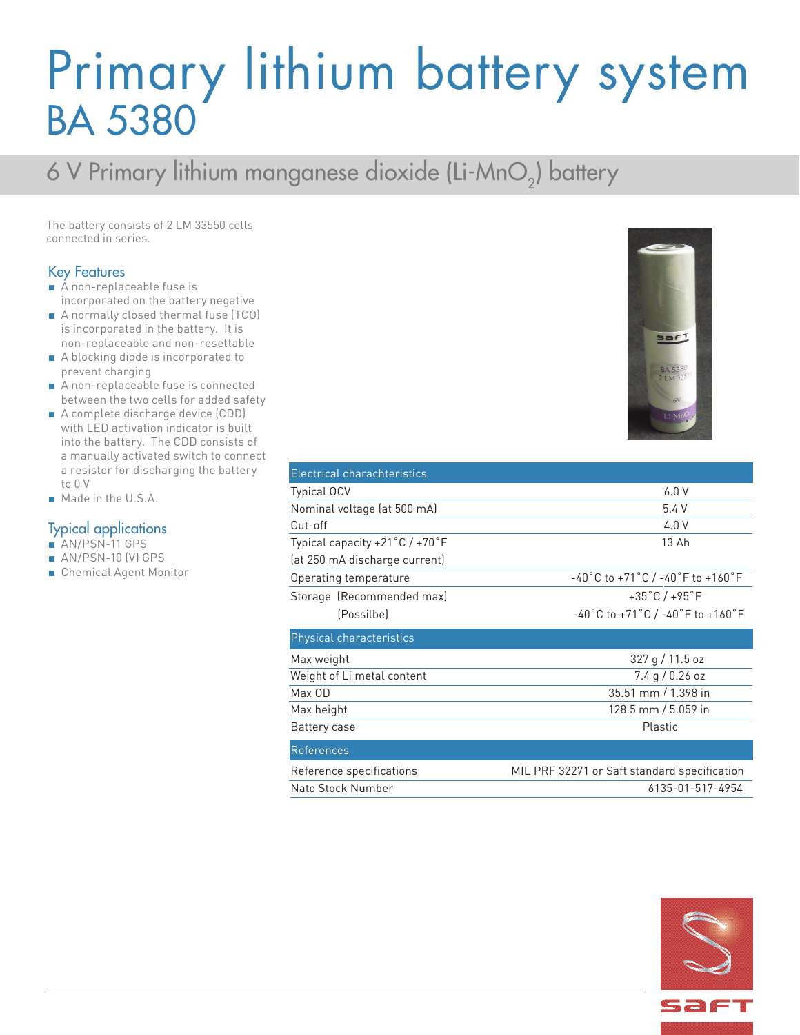## Primary lithium battery system BA 5380

### 6 V Primary lithium manganese dioxide (Li-MnO<sub>2</sub>) battery

The battery consists of 2 LM 33550 cells connected in series.

#### Key Features

- A non-replaceable fuse is incorporated on the battery negative
- A normally closed thermal fuse (TCO) is incorporated in the battery. It is non-replaceable and non-resettable
- A blocking diode is incorporated to prevent charging
- A non-replaceable fuse is connected between the two cells for added safety
- A complete discharge device (CDD) with LED activation indicator is built into the battery. The CDD consists of a manually activated switch to connect a resistor for discharging the battery to 0 V
- Made in the U.S.A.

#### Typical applications

- AN/PSN-11 GPS
- AN/PSN-10 (V) GPS
- Chemical Agent Monitor



| Electrical charachteristics    |                                                                             |
|--------------------------------|-----------------------------------------------------------------------------|
| <b>Typical OCV</b>             | 6.0V                                                                        |
| Nominal voltage (at 500 mA)    | 5.4V                                                                        |
| Cut-off                        | 4.0V                                                                        |
| Typical capacity +21°C / +70°F | 13 Ah                                                                       |
| (at 250 mA discharge current)  |                                                                             |
| Operating temperature          | $-40^{\circ}$ C to $+71^{\circ}$ C / $-40^{\circ}$ F to $+160^{\circ}$ F    |
| Storage (Recommended max)      | $+35^{\circ}$ C/ $+95^{\circ}$ F                                            |
| (Possilbe)                     | $-40^{\circ}$ C to +71 $^{\circ}$ C / -40 $^{\circ}$ F to +160 $^{\circ}$ F |
| Physical characteristics       |                                                                             |
| Max weight                     | 327 g / 11.5 oz                                                             |
| Weight of Li metal content     | $7.4$ g / 0.26 oz                                                           |
| Max OD                         | 35.51 mm / 1.398 in                                                         |
| Max height                     | 128.5 mm / 5.059 in                                                         |
| Battery case                   | Plastic                                                                     |
| <b>References</b>              |                                                                             |
| Reference specifications       | MIL PRF 32271 or Saft standard specification                                |
| Nato Stock Number              | 6135-01-517-4954                                                            |